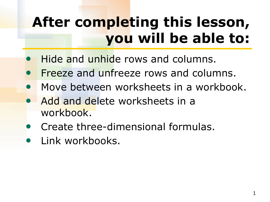# **After completing this lesson, you will be able to:**

- Hide and unhide rows and columns.
- Freeze and unfreeze rows and columns.
- Move between worksheets in a workbook.
- Add and delete worksheets in a workbook.
- **Create three-dimensional formulas.**
- Link workbooks.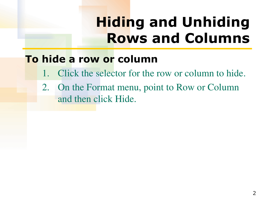# **Hiding and Unhiding Rows and Columns**

### **To hide a row or column**

- Click the selector for the row or column to hide.
- 2. On the Format menu, point to Row or Column and then click Hide.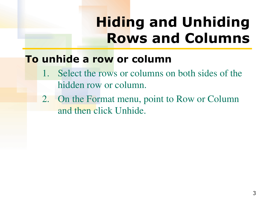# **Hiding and Unhiding Rows and Columns**

#### **To unhide a row or column**

- 1. Select the rows or columns on both sides of the hidden row or column.
- 2. On the Format menu, point to Row or Column and then click Unhide.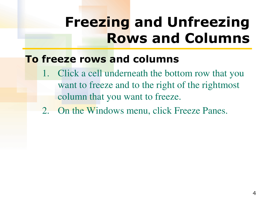## **Freezing and Unfreezing Rows and Columns**

### **To freeze rows and columns**

- Click a cell underneath the bottom row that you want to freeze and to the right of the rightmost column that you want to freeze.
- 2. On the Windows menu, click Freeze Panes.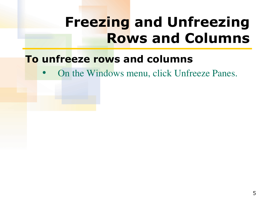### **Freezing and Unfreezing Rows and Columns**

#### **To unfreeze rows and columns**

• On the Windows menu, click Unfreeze Panes.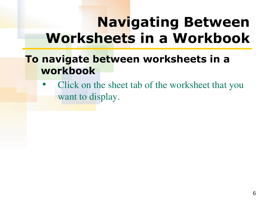## **Navigating Between Worksheets in a Workbook**

### **To navigate between worksheets in a workbook**

Click on the sheet tab of the worksheet that you want to display.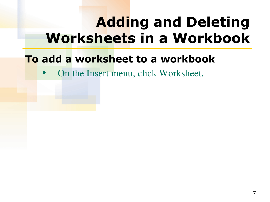## **Adding and Deleting Worksheets in a Workbook**

### **To add a worksheet to a workbook**

• On the Insert menu, click Worksheet.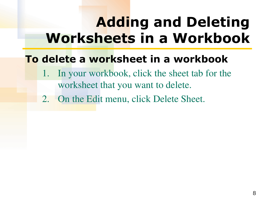## **Adding and Deleting Worksheets in a Workbook**

### **To delete a worksheet in a workbook**

- 1. In your workbook, click the sheet tab for the worksheet that you want to delete.
- 2. On the Edit menu, click Delete Sheet.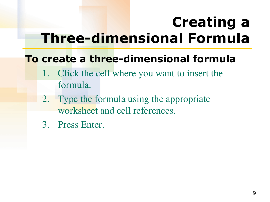# **Creating a Three-dimensional Formula**

### **To create a three-dimensional formula**

- 1. Click the cell where you want to insert the formula.
- 2. Type the formula using the appropriate worksheet and cell references.
- 3. Press Enter.